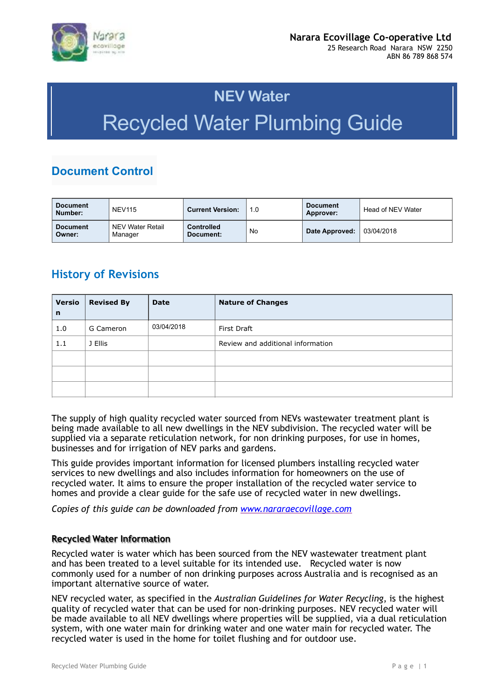

# **NEV Water** Recycled Water Plumbing Guide

# **Document Control**

| <b>Document</b><br>Number: | <b>NEV115</b>               | <b>Current Version:</b>        | 1.0 | <b>Document</b><br><b>Approver:</b> | Head of NEV Water |
|----------------------------|-----------------------------|--------------------------------|-----|-------------------------------------|-------------------|
| <b>Document</b><br>Owner:  | NEV Water Retail<br>Manager | <b>Controlled</b><br>Document: | No  | Date Approved:                      | ່ 03/04/2018      |

### **History of Revisions**

| <b>Versio</b><br>n | <b>Revised By</b> | <b>Date</b> | <b>Nature of Changes</b>          |
|--------------------|-------------------|-------------|-----------------------------------|
| 1.0                | G Cameron         | 03/04/2018  | First Draft                       |
| 1.1                | J Ellis           |             | Review and additional information |
|                    |                   |             |                                   |
|                    |                   |             |                                   |
|                    |                   |             |                                   |

The supply of high quality recycled water sourced from NEVs wastewater treatment plant is being made available to all new dwellings in the NEV subdivision. The recycled water will be supplied via a separate reticulation network, for non drinking purposes, for use in homes, businesses and for irrigation of NEV parks and gardens.

This guide provides important information for licensed plumbers installing recycled water services to new dwellings and also includes information for homeowners on the use of recycled water. It aims to ensure the proper installation of the recycled water service to homes and provide a clear guide for the safe use of recycled water in new dwellings.

*Copies of this guide can be downloaded from [www.nararaecovillage.com](http://www.nararaecovillage.com)*

#### **Recycled Water Information**

Recycled water is water which has been sourced from the NEV wastewater treatment plant and has been treated to a level suitable for its intended use. Recycled water is now commonly used for a number of non drinking purposes across Australia and is recognised as an important alternative source of water.

NEV recycled water, as specified in the *Australian Guidelines for Water Recycling*, is the highest quality of recycled water that can be used for non-drinking purposes. NEV recycled water will be made available to all NEV dwellings where properties will be supplied, via a dual reticulation system, with one water main for drinking water and one water main for recycled water. The recycled water is used in the home for toilet flushing and for outdoor use.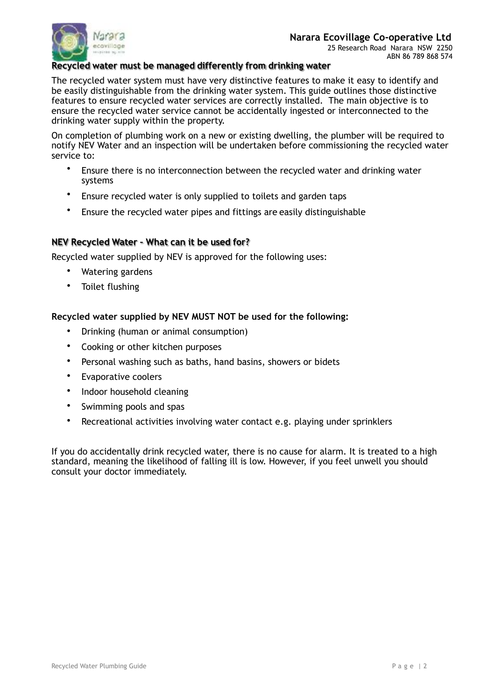

#### **Recycled water must be managed differently from drinking water**

The recycled water system must have very distinctive features to make it easy to identify and be easily distinguishable from the drinking water system. This guide outlines those distinctive features to ensure recycled water services are correctly installed. The main objective is to ensure the recycled water service cannot be accidentally ingested or interconnected to the drinking water supply within the property.

On completion of plumbing work on a new or existing dwelling, the plumber will be required to notify NEV Water and an inspection will be undertaken before commissioning the recycled water service to:

- Ensure there is no interconnection between the recycled water and drinking water systems
- Ensure recycled water is only supplied to toilets and garden taps
- Ensure the recycled water pipes and fittings are easily distinguishable

#### **NEV Recycled Water – What can it be used for?**

Recycled water supplied by NEV is approved for the following uses:

- Watering gardens
- Toilet flushing

#### **Recycled water supplied by NEV MUST NOT be used for the following:**

- Drinking (human or animal consumption)
- Cooking or other kitchen purposes
- Personal washing such as baths, hand basins, showers or bidets
- Evaporative coolers
- Indoor household cleaning
- Swimming pools and spas
- Recreational activities involving water contact e.g. playing under sprinklers

If you do accidentally drink recycled water, there is no cause for alarm. It is treated to a high standard, meaning the likelihood of falling ill is low. However, if you feel unwell you should consult your doctor immediately.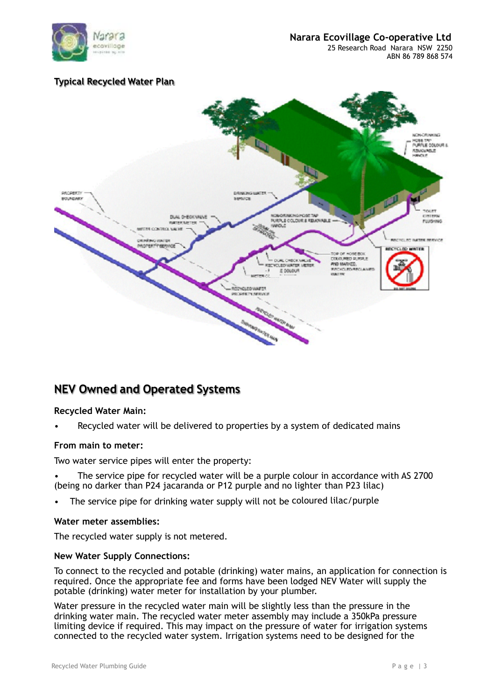

ABN 86 789 868 574

#### **Typical Recycled Water Plan**



## **NEV Owned and Operated Systems**

#### **Recycled Water Main:**

• Recycled water will be delivered to properties by a system of dedicated mains

#### **From main to meter:**

Two water service pipes will enter the property:

- The service pipe for recycled water will be a purple colour in accordance with AS 2700 (being no darker than P24 jacaranda or P12 purple and no lighter than P23 lilac)
- The service pipe for drinking water supply will not be coloured lilac/purple

#### **Water meter assemblies:**

The recycled water supply is not metered.

#### **New Water Supply Connections:**

To connect to the recycled and potable (drinking) water mains, an application for connection is required. Once the appropriate fee and forms have been lodged NEV Water will supply the potable (drinking) water meter for installation by your plumber.

Water pressure in the recycled water main will be slightly less than the pressure in the drinking water main. The recycled water meter assembly may include a 350kPa pressure limiting device if required. This may impact on the pressure of water for irrigation systems connected to the recycled water system. Irrigation systems need to be designed for the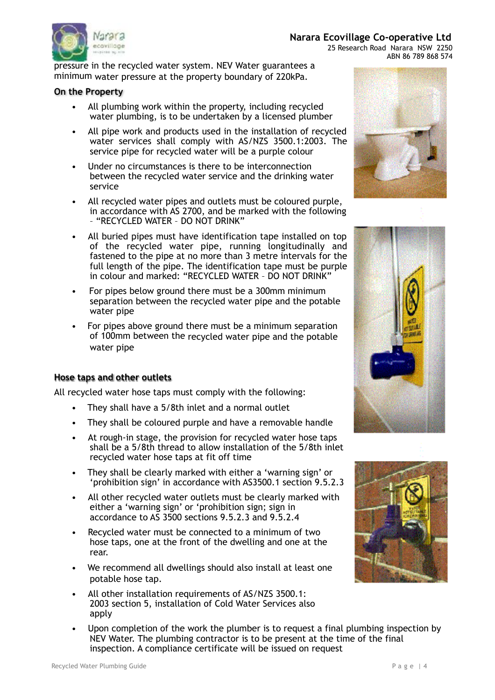

# **Narara Ecovillage Co-operative Ltd**<br>ecovillage and a second a second and a second a second a second a second a second a second a second a second a

 25 Research Road Narara NSW 2250 ABN 86 789 868 574

pressure in the recycled water system. NEV Water guarantees a minimum water pressure at the property boundary of 220kPa.

#### **On the Property**

- All plumbing work within the property, including recycled water plumbing, is to be undertaken by a licensed plumber
- All pipe work and products used in the installation of recycled water services shall comply with AS/NZS 3500.1:2003. The service pipe for recycled water will be a purple colour
- Under no circumstances is there to be interconnection between the recycled water service and the drinking water service
- All recycled water pipes and outlets must be coloured purple, in accordance with AS 2700, and be marked with the following – "RECYCLED WATER – DO NOT DRINK"
- All buried pipes must have identification tape installed on top of the recycled water pipe, running longitudinally and fastened to the pipe at no more than 3 metre intervals for the full length of the pipe. The identification tape must be purple in colour and marked: "RECYCLED WATER – DO NOT DRINK"
- For pipes below ground there must be a 300mm minimum separation between the recycled water pipe and the potable water pipe
- For pipes above ground there must be a minimum separation of 100mm between the recycled water pipe and the potable water pipe

#### **Hose taps and other outlets**

All recycled water hose taps must comply with the following:

- They shall have a 5/8th inlet and a normal outlet
- They shall be coloured purple and have a removable handle
- At rough-in stage, the provision for recycled water hose taps shall be a 5/8th thread to allow installation of the 5/8th inlet recycled water hose taps at fit off time
- They shall be clearly marked with either a 'warning sign' or 'prohibition sign' in accordance with AS3500.1 section 9.5.2.3
- All other recycled water outlets must be clearly marked with either a 'warning sign' or 'prohibition sign; sign in accordance to AS 3500 sections 9.5.2.3 and 9.5.2.4
- Recycled water must be connected to a minimum of two hose taps, one at the front of the dwelling and one at the rear.
- We recommend all dwellings should also install at least one potable hose tap.
- All other installation requirements of AS/NZS 3500.1: 2003 section 5, installation of Cold Water Services also apply
- Upon completion of the work the plumber is to request a final plumbing inspection by NEV Water. The plumbing contractor is to be present at the time of the final inspection. A compliance certificate will be issued on request